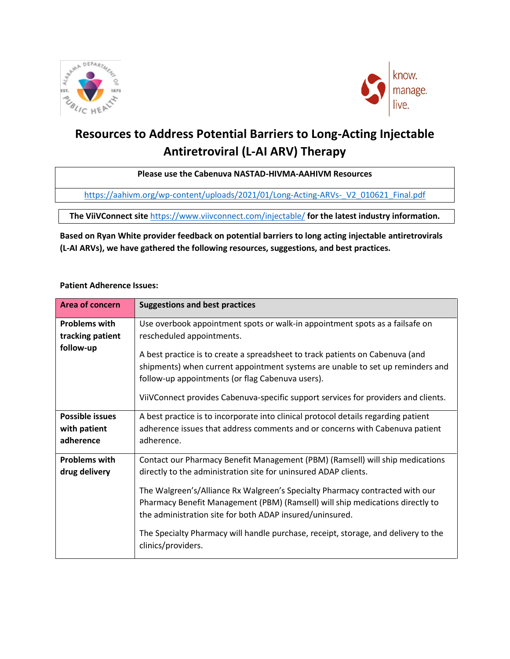



# **Resources to Address Potential Barriers to Long-Acting Injectable Antiretroviral (L-AI ARV) Therapy**

### **Please use the Cabenuva NASTAD-HIVMA-AAHIVM Resources**

[https://aahivm.org/wp-content/uploads/2021/01/Long-Acting-ARVs-\\_V2\\_010621\\_Final.pdf](https://aahivm.org/wp-content/uploads/2021/01/Long-Acting-ARVs-_V2_010621_Final.pdf)

**The ViiVConnect site** <https://www.viivconnect.com/injectable/> **for the latest industry information.**

## **Based on Ryan White provider feedback on potential barriers to long acting injectable antiretrovirals (L-AI ARVs), we have gathered the following resources, suggestions, and best practices.**

#### **Patient Adherence Issues:**

| <b>Area of concern</b>                                | <b>Suggestions and best practices</b>                                                                                                                                                                                                                                                                                                                                                                                                                               |
|-------------------------------------------------------|---------------------------------------------------------------------------------------------------------------------------------------------------------------------------------------------------------------------------------------------------------------------------------------------------------------------------------------------------------------------------------------------------------------------------------------------------------------------|
| <b>Problems with</b><br>tracking patient<br>follow-up | Use overbook appointment spots or walk-in appointment spots as a failsafe on<br>rescheduled appointments.                                                                                                                                                                                                                                                                                                                                                           |
|                                                       | A best practice is to create a spreadsheet to track patients on Cabenuva (and<br>shipments) when current appointment systems are unable to set up reminders and<br>follow-up appointments (or flag Cabenuva users).<br>ViiVConnect provides Cabenuva-specific support services for providers and clients.                                                                                                                                                           |
| <b>Possible issues</b><br>with patient<br>adherence   | A best practice is to incorporate into clinical protocol details regarding patient<br>adherence issues that address comments and or concerns with Cabenuva patient<br>adherence.                                                                                                                                                                                                                                                                                    |
| <b>Problems with</b><br>drug delivery                 | Contact our Pharmacy Benefit Management (PBM) (Ramsell) will ship medications<br>directly to the administration site for uninsured ADAP clients.<br>The Walgreen's/Alliance Rx Walgreen's Specialty Pharmacy contracted with our<br>Pharmacy Benefit Management (PBM) (Ramsell) will ship medications directly to<br>the administration site for both ADAP insured/uninsured.<br>The Specialty Pharmacy will handle purchase, receipt, storage, and delivery to the |
|                                                       | clinics/providers.                                                                                                                                                                                                                                                                                                                                                                                                                                                  |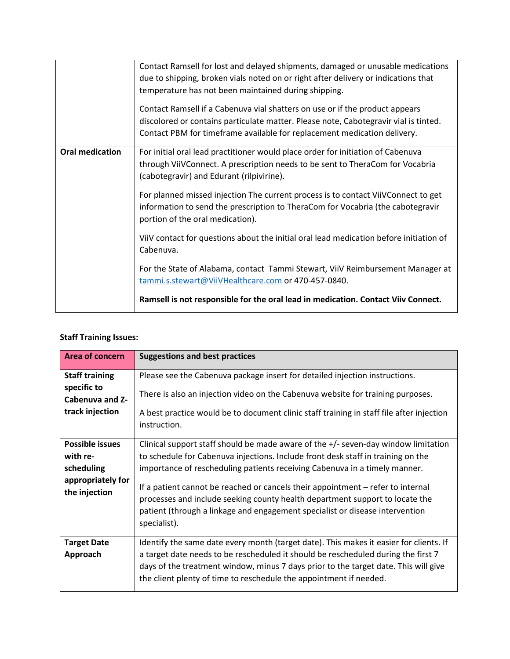|                        | Contact Ramsell for lost and delayed shipments, damaged or unusable medications<br>due to shipping, broken vials noted on or right after delivery or indications that<br>temperature has not been maintained during shipping.                    |
|------------------------|--------------------------------------------------------------------------------------------------------------------------------------------------------------------------------------------------------------------------------------------------|
|                        | Contact Ramsell if a Cabenuva vial shatters on use or if the product appears<br>discolored or contains particulate matter. Please note, Cabotegravir vial is tinted.<br>Contact PBM for timeframe available for replacement medication delivery. |
| <b>Oral medication</b> | For initial oral lead practitioner would place order for initiation of Cabenuva<br>through ViiVConnect. A prescription needs to be sent to TheraCom for Vocabria<br>(cabotegravir) and Edurant (rilpivirine).                                    |
|                        | For planned missed injection The current process is to contact ViiVConnect to get<br>information to send the prescription to TheraCom for Vocabria (the cabotegravir<br>portion of the oral medication).                                         |
|                        | ViiV contact for questions about the initial oral lead medication before initiation of<br>Cabenuva.                                                                                                                                              |
|                        | For the State of Alabama, contact Tammi Stewart, ViiV Reimbursement Manager at<br>tammi.s.stewart@ViiVHealthcare.com or 470-457-0840.                                                                                                            |
|                        | Ramsell is not responsible for the oral lead in medication. Contact Viiv Connect.                                                                                                                                                                |

## **Staff Training Issues:**

| Area of concern                                                                        | <b>Suggestions and best practices</b>                                                                                                                                                                                                                                                                                                                                                                                                                                                                                     |
|----------------------------------------------------------------------------------------|---------------------------------------------------------------------------------------------------------------------------------------------------------------------------------------------------------------------------------------------------------------------------------------------------------------------------------------------------------------------------------------------------------------------------------------------------------------------------------------------------------------------------|
| <b>Staff training</b><br>specific to<br><b>Cabenuva and Z-</b>                         | Please see the Cabenuva package insert for detailed injection instructions.<br>There is also an injection video on the Cabenuva website for training purposes.                                                                                                                                                                                                                                                                                                                                                            |
| track injection                                                                        | A best practice would be to document clinic staff training in staff file after injection<br>instruction.                                                                                                                                                                                                                                                                                                                                                                                                                  |
| <b>Possible issues</b><br>with re-<br>scheduling<br>appropriately for<br>the injection | Clinical support staff should be made aware of the $+/-$ seven-day window limitation<br>to schedule for Cabenuva injections. Include front desk staff in training on the<br>importance of rescheduling patients receiving Cabenuva in a timely manner.<br>If a patient cannot be reached or cancels their appointment – refer to internal<br>processes and include seeking county health department support to locate the<br>patient (through a linkage and engagement specialist or disease intervention<br>specialist). |
| <b>Target Date</b><br>Approach                                                         | Identify the same date every month (target date). This makes it easier for clients. If<br>a target date needs to be rescheduled it should be rescheduled during the first 7<br>days of the treatment window, minus 7 days prior to the target date. This will give<br>the client plenty of time to reschedule the appointment if needed.                                                                                                                                                                                  |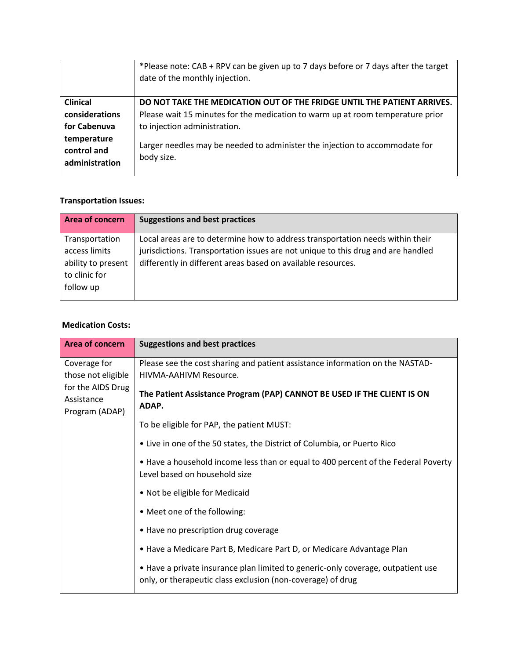|                 | *Please note: CAB + RPV can be given up to 7 days before or 7 days after the target |
|-----------------|-------------------------------------------------------------------------------------|
|                 | date of the monthly injection.                                                      |
|                 |                                                                                     |
| <b>Clinical</b> | DO NOT TAKE THE MEDICATION OUT OF THE FRIDGE UNTIL THE PATIENT ARRIVES.             |
| considerations  | Please wait 15 minutes for the medication to warm up at room temperature prior      |
| for Cabenuva    | to injection administration.                                                        |
| temperature     | Larger needles may be needed to administer the injection to accommodate for         |
| control and     | body size.                                                                          |
| administration  |                                                                                     |

## **Transportation Issues:**

| <b>Area of concern</b>                                                              | <b>Suggestions and best practices</b>                                                                                                                                                                                             |
|-------------------------------------------------------------------------------------|-----------------------------------------------------------------------------------------------------------------------------------------------------------------------------------------------------------------------------------|
| Transportation<br>access limits<br>ability to present<br>to clinic for<br>follow up | Local areas are to determine how to address transportation needs within their<br>jurisdictions. Transportation issues are not unique to this drug and are handled<br>differently in different areas based on available resources. |

#### **Medication Costs:**

| Area of concern                                   | <b>Suggestions and best practices</b>                                                                                                           |
|---------------------------------------------------|-------------------------------------------------------------------------------------------------------------------------------------------------|
| Coverage for                                      | Please see the cost sharing and patient assistance information on the NASTAD-                                                                   |
| those not eligible                                | HIVMA-AAHIVM Resource.                                                                                                                          |
| for the AIDS Drug<br>Assistance<br>Program (ADAP) | The Patient Assistance Program (PAP) CANNOT BE USED IF THE CLIENT IS ON<br>ADAP.                                                                |
|                                                   | To be eligible for PAP, the patient MUST:                                                                                                       |
|                                                   | • Live in one of the 50 states, the District of Columbia, or Puerto Rico                                                                        |
|                                                   | • Have a household income less than or equal to 400 percent of the Federal Poverty<br>Level based on household size                             |
|                                                   | • Not be eligible for Medicaid                                                                                                                  |
|                                                   | • Meet one of the following:                                                                                                                    |
|                                                   | • Have no prescription drug coverage                                                                                                            |
|                                                   | • Have a Medicare Part B, Medicare Part D, or Medicare Advantage Plan                                                                           |
|                                                   | . Have a private insurance plan limited to generic-only coverage, outpatient use<br>only, or therapeutic class exclusion (non-coverage) of drug |